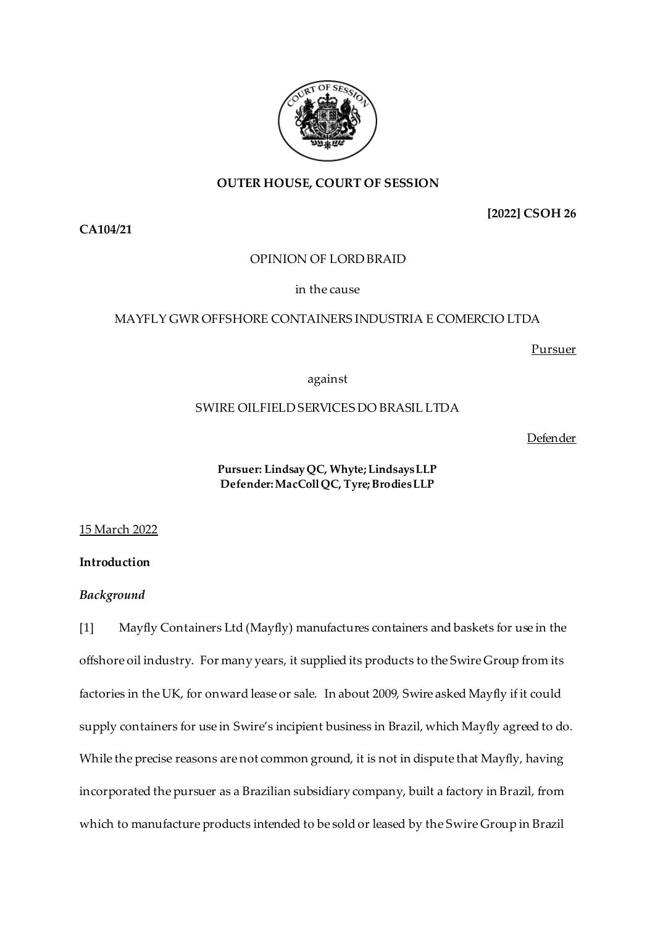# **OUTER HOUSE, COURT OF SESSION**

**[2022] CSOH 26**

**CA104/21**

# OPINION OF LORD BRAID

# in the cause

# MAYFLY GWR OFFSHORE CONTAINERS INDUSTRIA E COMERCIO LTDA

Pursuer

against

# SWIRE OILFIELD SERVICES DO BRASIL LTDA

Defender

# **Pursuer: Lindsay QC, Whyte; Lindsays LLP Defender:MacColl QC, Tyre; Brodies LLP**

# 15 March 2022

# **Introduction**

# *Background*

[1] Mayfly Containers Ltd (Mayfly) manufactures containers and baskets for use in the offshore oil industry. For many years, it supplied its products to the Swire Group from its factories in the UK, for onward lease or sale. In about 2009, Swire asked Mayfly if it could supply containers for use in Swire's incipient business in Brazil, which Mayfly agreed to do. While the precise reasons are not common ground, it is not in dispute that Mayfly, having incorporated the pursuer as a Brazilian subsidiary company, built a factory in Brazil, from which to manufacture products intended to be sold or leased by the Swire Group in Brazil

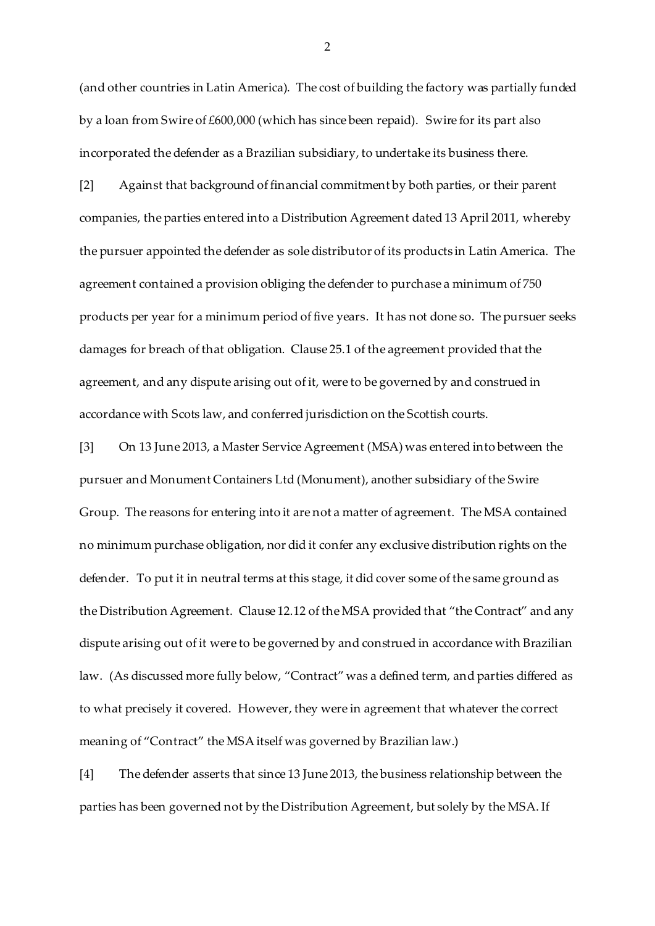(and other countries in Latin America). The cost of building the factory was partially funded by a loan from Swire of £600,000 (which has since been repaid). Swire for its part also incorporated the defender as a Brazilian subsidiary, to undertake its business there.

[2] Against that background of financial commitment by both parties, or their parent companies, the parties entered into a Distribution Agreement dated 13 April 2011, whereby the pursuer appointed the defender as sole distributor of its products in Latin America. The agreement contained a provision obliging the defender to purchase a minimum of 750 products per year for a minimum period of five years. It has not done so. The pursuer seeks damages for breach of that obligation. Clause 25.1 of the agreement provided that the agreement, and any dispute arising out of it, were to be governed by and construed in accordance with Scots law, and conferred jurisdiction on the Scottish courts.

[3] On 13 June 2013, a Master Service Agreement (MSA) was entered into between the pursuer and Monument Containers Ltd (Monument), another subsidiary of the Swire Group. The reasons for entering into it are not a matter of agreement. The MSA contained no minimum purchase obligation, nor did it confer any exclusive distribution rights on the defender. To put it in neutral terms at this stage, it did cover some of the same ground as the Distribution Agreement. Clause 12.12 of the MSA provided that "the Contract" and any dispute arising out of it were to be governed by and construed in accordance with Brazilian law. (As discussed more fully below, "Contract" was a defined term, and parties differed as to what precisely it covered. However, they were in agreement that whatever the correct meaning of "Contract" the MSA itself was governed by Brazilian law.)

[4] The defender asserts that since 13 June 2013, the business relationship between the parties has been governed not by the Distribution Agreement, but solely by the MSA. If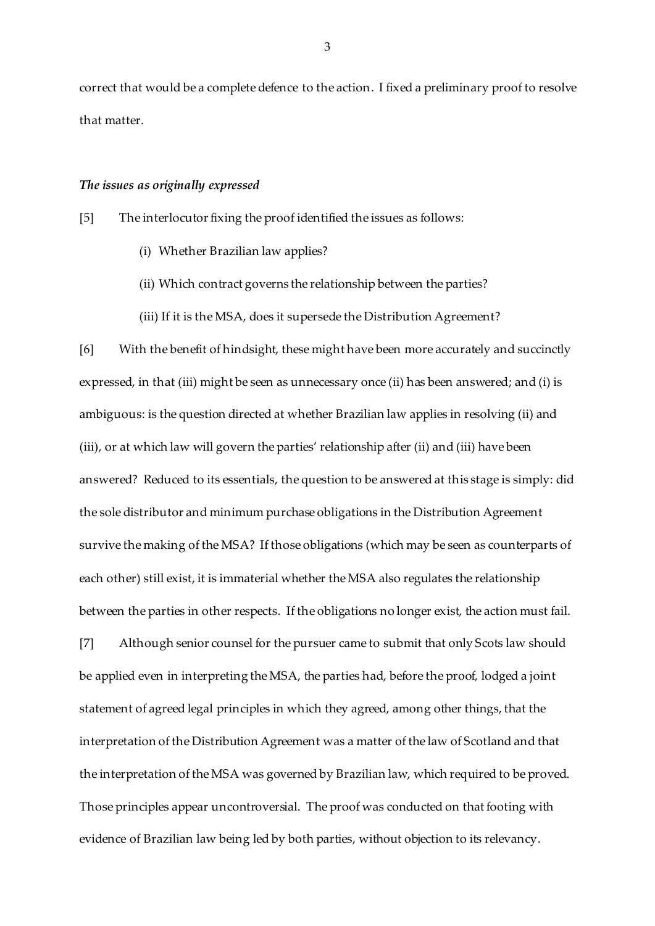correct that would be a complete defence to the action. I fixed a preliminary proof to resolve that matter.

### *The issues as originally expressed*

[5] The interlocutor fixing the proof identified the issues as follows:

- (i) Whether Brazilian law applies?
- (ii) Which contract governs the relationship between the parties?
- (iii) If it is the MSA, does it supersede the Distribution Agreement?

[6] With the benefit of hindsight, these might have been more accurately and succinctly expressed, in that (iii) might be seen as unnecessary once (ii) has been answered; and (i) is ambiguous: is the question directed at whether Brazilian law applies in resolving (ii) and (iii), or at which law will govern the parties' relationship after (ii) and (iii) have been answered? Reduced to its essentials, the question to be answered at this stage is simply: did the sole distributor and minimum purchase obligations in the Distribution Agreement survive the making of the MSA? If those obligations (which may be seen as counterparts of each other) still exist, it is immaterial whether the MSA also regulates the relationship between the parties in other respects. If the obligations no longer exist, the action must fail.

[7] Although senior counsel for the pursuer came to submit that only Scots law should be applied even in interpreting the MSA, the parties had, before the proof, lodged a joint statement of agreed legal principles in which they agreed, among other things, that the interpretation of the Distribution Agreement was a matter of the law of Scotland and that the interpretation of the MSA was governed by Brazilian law, which required to be proved. Those principles appear uncontroversial. The proof was conducted on that footing with evidence of Brazilian law being led by both parties, without objection to its relevancy.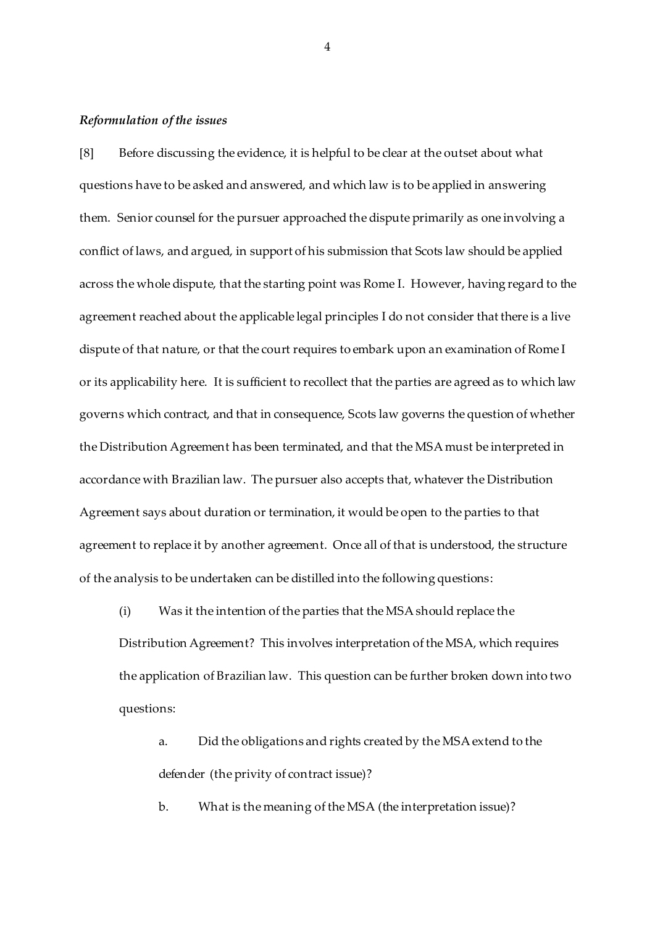#### *Reformulation of the issues*

[8] Before discussing the evidence, it is helpful to be clear at the outset about what questions have to be asked and answered, and which law is to be applied in answering them. Senior counsel for the pursuer approached the dispute primarily as one involving a conflict of laws, and argued, in support of his submission that Scots law should be applied across the whole dispute, that the starting point was Rome I. However, having regard to the agreement reached about the applicable legal principles I do not consider that there is a live dispute of that nature, or that the court requires to embark upon an examination of Rome I or its applicability here. It is sufficient to recollect that the parties are agreed as to which law governs which contract, and that in consequence, Scots law governs the question of whether the Distribution Agreement has been terminated, and that the MSA must be interpreted in accordance with Brazilian law. The pursuer also accepts that, whatever the Distribution Agreement says about duration or termination, it would be open to the parties to that agreement to replace it by another agreement. Once all of that is understood, the structure of the analysis to be undertaken can be distilled into the following questions:

(i) Was it the intention of the parties that the MSA should replace the Distribution Agreement? This involves interpretation of the MSA, which requires the application of Brazilian law. This question can be further broken down into two questions:

a. Did the obligations and rights created by the MSA extend to the defender (the privity of contract issue)?

b. What is the meaning of the MSA (the interpretation issue)?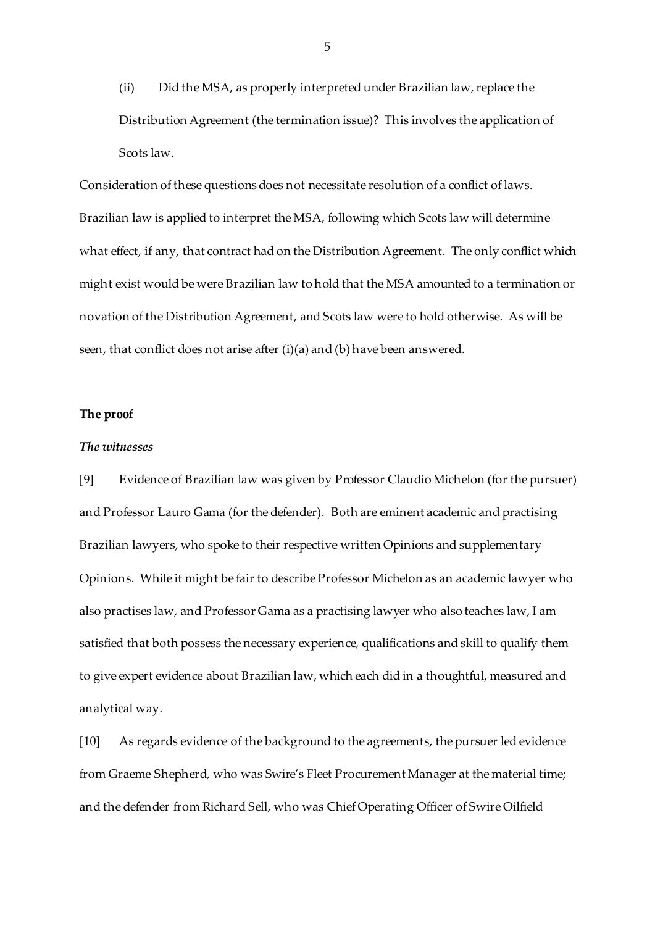(ii) Did the MSA, as properly interpreted under Brazilian law, replace the Distribution Agreement (the termination issue)? This involves the application of Scots law.

Consideration of these questions does not necessitate resolution of a conflict of laws. Brazilian law is applied to interpret the MSA, following which Scots law will determine what effect, if any, that contract had on the Distribution Agreement. The only conflict which might exist would be were Brazilian law to hold that the MSA amounted to a termination or novation of the Distribution Agreement, and Scots law were to hold otherwise. As will be seen, that conflict does not arise after (i)(a) and (b) have been answered.

### **The proof**

# *The witnesses*

[9] Evidence of Brazilian law was given by Professor Claudio Michelon (for the pursuer) and Professor Lauro Gama (for the defender). Both are eminent academic and practising Brazilian lawyers, who spoke to their respective written Opinions and supplementary Opinions. While it might be fair to describe Professor Michelon as an academic lawyer who also practises law, and Professor Gama as a practising lawyer who also teaches law, I am satisfied that both possess the necessary experience, qualifications and skill to qualify them to give expert evidence about Brazilian law, which each did in a thoughtful, measured and analytical way.

[10] As regards evidence of the background to the agreements, the pursuer led evidence from Graeme Shepherd, who was Swire's Fleet Procurement Manager at the material time; and the defender from Richard Sell, who was Chief Operating Officer of Swire Oilfield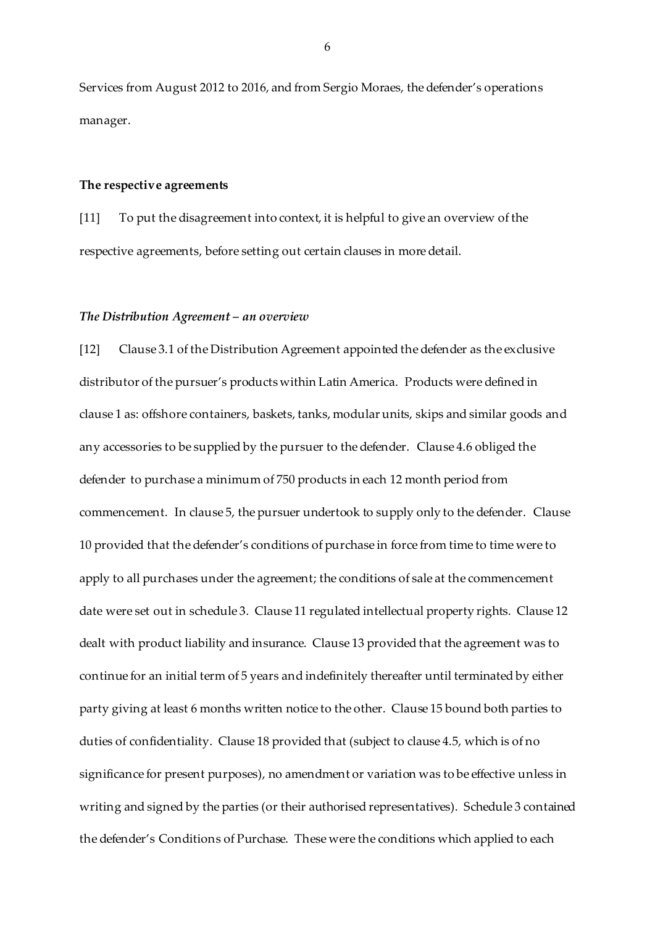Services from August 2012 to 2016, and from Sergio Moraes, the defender's operations manager.

### **The respective agreements**

[11] To put the disagreement into context, it is helpful to give an overview of the respective agreements, before setting out certain clauses in more detail.

#### *The Distribution Agreement – an overview*

[12] Clause 3.1 of the Distribution Agreement appointed the defender as the exclusive distributor of the pursuer's products within Latin America. Products were defined in clause 1 as: offshore containers, baskets, tanks, modular units, skips and similar goods and any accessories to be supplied by the pursuer to the defender. Clause 4.6 obliged the defender to purchase a minimum of 750 products in each 12 month period from commencement. In clause 5, the pursuer undertook to supply only to the defender. Clause 10 provided that the defender's conditions of purchase in force from time to time were to apply to all purchases under the agreement; the conditions of sale at the commencement date were set out in schedule 3. Clause 11 regulated intellectual property rights. Clause 12 dealt with product liability and insurance. Clause 13 provided that the agreement was to continue for an initial term of 5 years and indefinitely thereafter until terminated by either party giving at least 6 months written notice to the other. Clause 15 bound both parties to duties of confidentiality. Clause 18 provided that (subject to clause 4.5, which is of no significance for present purposes), no amendment or variation was to be effective unless in writing and signed by the parties (or their authorised representatives). Schedule 3 contained the defender's Conditions of Purchase. These were the conditions which applied to each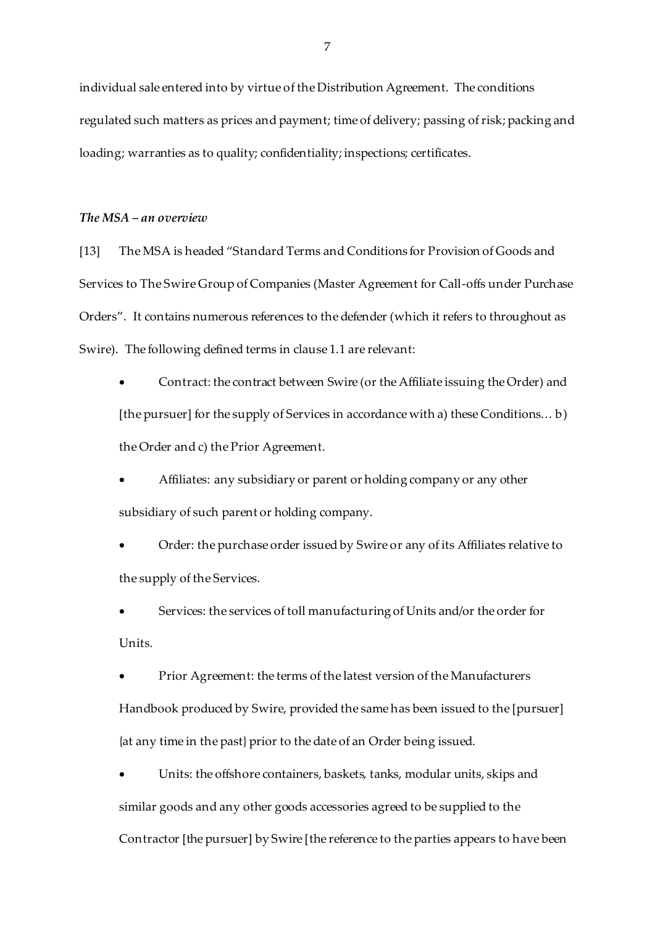individual sale entered into by virtue of the Distribution Agreement. The conditions regulated such matters as prices and payment; time of delivery; passing of risk; packing and loading; warranties as to quality; confidentiality; inspections; certificates.

## *The MSA – an overview*

[13] The MSA is headed "Standard Terms and Conditions for Provision of Goods and Services to The Swire Group of Companies (Master Agreement for Call-offs under Purchase Orders". It contains numerous references to the defender (which it refers to throughout as Swire). The following defined terms in clause 1.1 are relevant:

 Contract: the contract between Swire (or the Affiliate issuing the Order) and [the pursuer] for the supply of Services in accordance with a) these Conditions... b) the Order and c) the Prior Agreement.

 Affiliates: any subsidiary or parent or holding company or any other subsidiary of such parent or holding company.

 Order: the purchase order issued by Swire or any of its Affiliates relative to the supply of the Services.

 Services: the services of toll manufacturing of Units and/or the order for Units.

 Prior Agreement: the terms of the latest version of the Manufacturers Handbook produced by Swire, provided the same has been issued to the [pursuer] {at any time in the past} prior to the date of an Order being issued.

 Units: the offshore containers, baskets, tanks, modular units, skips and similar goods and any other goods accessories agreed to be supplied to the Contractor [the pursuer] by Swire [the reference to the parties appears to have been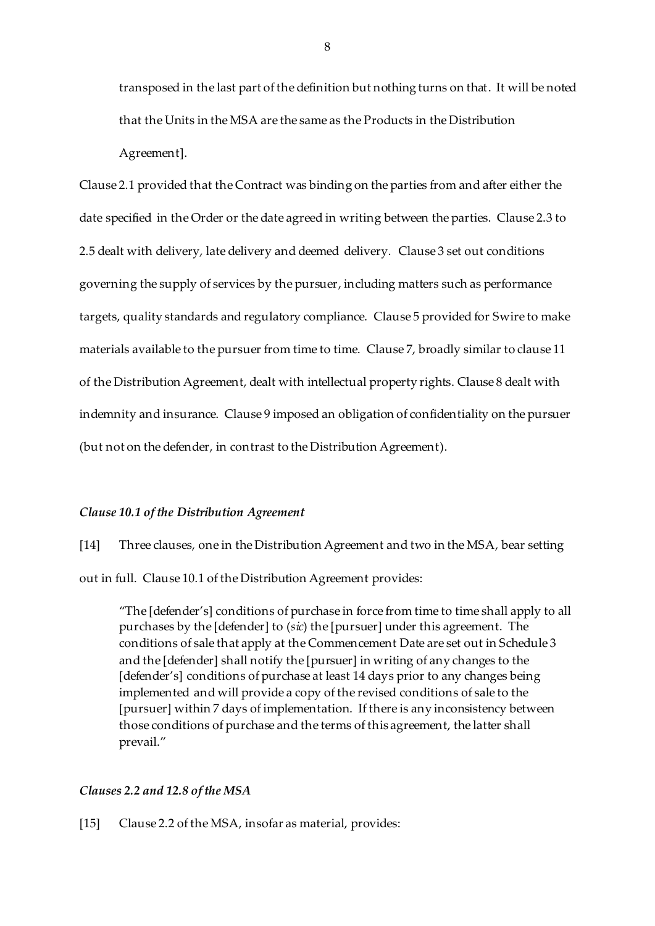transposed in the last part of the definition but nothing turns on that. It will be noted that the Units in the MSA are the same as the Products in the Distribution Agreement].

Clause 2.1 provided that the Contract was binding on the parties from and after either the date specified in the Order or the date agreed in writing between the parties. Clause 2.3 to 2.5 dealt with delivery, late delivery and deemed delivery. Clause 3 set out conditions governing the supply of services by the pursuer, including matters such as performance targets, quality standards and regulatory compliance. Clause 5 provided for Swire to make materials available to the pursuer from time to time. Clause 7, broadly similar to clause 11 of the Distribution Agreement, dealt with intellectual property rights. Clause 8 dealt with indemnity and insurance. Clause 9 imposed an obligation of confidentiality on the pursuer (but not on the defender, in contrast to the Distribution Agreement).

# *Clause 10.1 of the Distribution Agreement*

[14] Three clauses, one in the Distribution Agreement and two in the MSA, bear setting out in full. Clause 10.1 of the Distribution Agreement provides:

"The [defender's] conditions of purchase in force from time to time shall apply to all purchases by the [defender] to (*sic*) the [pursuer] under this agreement. The conditions of sale that apply at the Commencement Date are set out in Schedule 3 and the [defender] shall notify the [pursuer] in writing of any changes to the [defender's] conditions of purchase at least 14 days prior to any changes being implemented and will provide a copy of the revised conditions of sale to the [pursuer] within 7 days of implementation. If there is any inconsistency between those conditions of purchase and the terms of this agreement, the latter shall prevail."

## *Clauses 2.2 and 12.8 of the MSA*

[15] Clause 2.2 of the MSA, insofar as material, provides: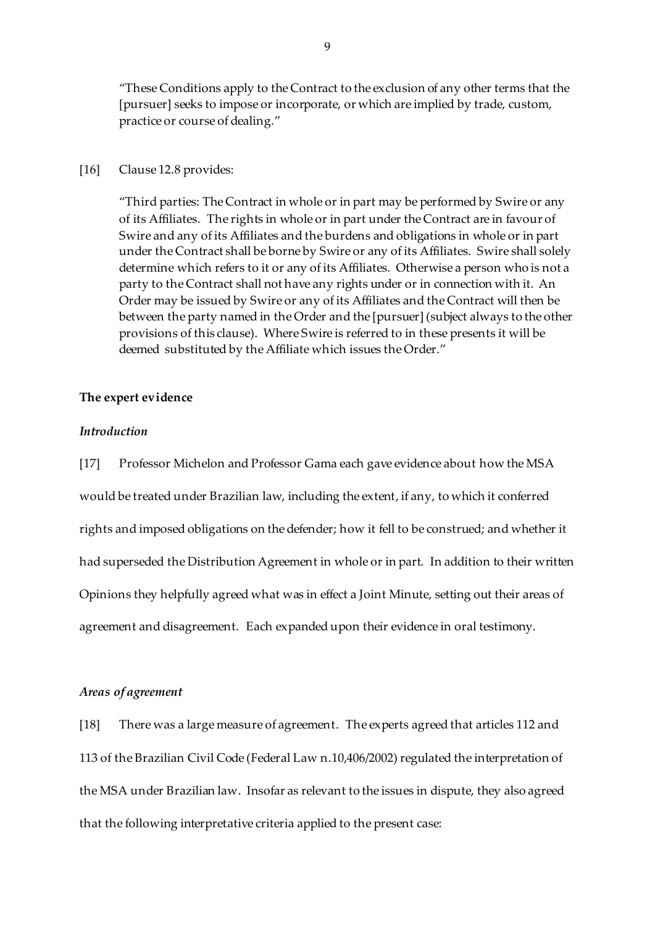"These Conditions apply to the Contract to the exclusion of any other terms that the [pursuer] seeks to impose or incorporate, or which are implied by trade, custom, practice or course of dealing."

### [16] Clause 12.8 provides:

"Third parties: The Contract in whole or in part may be performed by Swire or any of its Affiliates. The rights in whole or in part under the Contract are in favour of Swire and any of its Affiliates and the burdens and obligations in whole or in part under the Contract shall be borne by Swire or any of its Affiliates. Swire shall solely determine which refers to it or any of its Affiliates. Otherwise a person who is not a party to the Contract shall not have any rights under or in connection with it. An Order may be issued by Swire or any of its Affiliates and the Contract will then be between the party named in the Order and the [pursuer] (subject always to the other provisions of this clause). Where Swire is referred to in these presents it will be deemed substituted by the Affiliate which issues the Order."

### **The expert evidence**

## *Introduction*

[17] Professor Michelon and Professor Gama each gave evidence about how the MSA would be treated under Brazilian law, including the extent, if any, to which it conferred rights and imposed obligations on the defender; how it fell to be construed; and whether it had superseded the Distribution Agreement in whole or in part. In addition to their written Opinions they helpfully agreed what was in effect a Joint Minute, setting out their areas of agreement and disagreement. Each expanded upon their evidence in oral testimony.

# *Areas of agreement*

[18] There was a large measure of agreement. The experts agreed that articles 112 and 113 of the Brazilian Civil Code (Federal Law n.10,406/2002) regulated the interpretation of the MSA under Brazilian law. Insofar as relevant to the issues in dispute, they also agreed that the following interpretative criteria applied to the present case: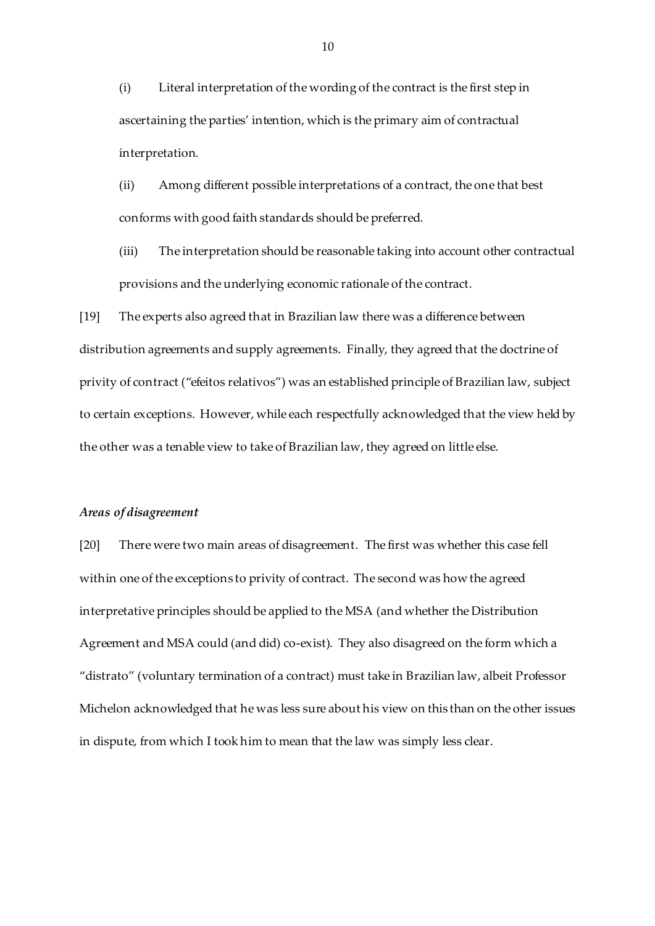(i) Literal interpretation of the wording of the contract is the first step in ascertaining the parties' intention, which is the primary aim of contractual interpretation.

(ii) Among different possible interpretations of a contract, the one that best conforms with good faith standards should be preferred.

(iii) The interpretation should be reasonable taking into account other contractual provisions and the underlying economic rationale of the contract.

[19] The experts also agreed that in Brazilian law there was a difference between distribution agreements and supply agreements. Finally, they agreed that the doctrine of privity of contract ("efeitos relativos") was an established principle of Brazilian law, subject to certain exceptions. However, while each respectfully acknowledged that the view held by the other was a tenable view to take of Brazilian law, they agreed on little else.

#### *Areas of disagreement*

[20] There were two main areas of disagreement. The first was whether this case fell within one of the exceptions to privity of contract. The second was how the agreed interpretative principles should be applied to the MSA (and whether the Distribution Agreement and MSA could (and did) co-exist). They also disagreed on the form which a "distrato" (voluntary termination of a contract) must take in Brazilian law, albeit Professor Michelon acknowledged that he was less sure about his view on this than on the other issues in dispute, from which I took him to mean that the law was simply less clear.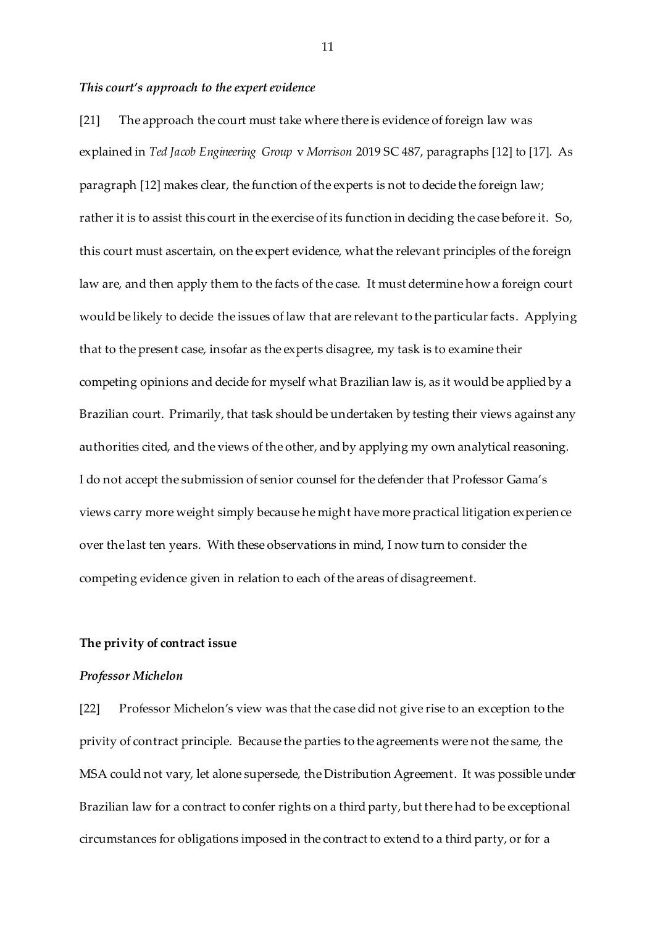#### *This court's approach to the expert evidence*

[21] The approach the court must take where there is evidence of foreign law was explained in *Ted Jacob Engineering Group* v *Morrison* 2019 SC 487, paragraphs [12] to [17]. As paragraph [12] makes clear, the function of the experts is not to decide the foreign law; rather it is to assist this court in the exercise of its function in deciding the case before it. So, this court must ascertain, on the expert evidence, what the relevant principles of the foreign law are, and then apply them to the facts of the case. It must determine how a foreign court would be likely to decide the issues of law that are relevant to the particular facts. Applying that to the present case, insofar as the experts disagree, my task is to examine their competing opinions and decide for myself what Brazilian law is, as it would be applied by a Brazilian court. Primarily, that task should be undertaken by testing their views against any authorities cited, and the views of the other, and by applying my own analytical reasoning. I do not accept the submission of senior counsel for the defender that Professor Gama's views carry more weight simply because he might have more practical litigation experience over the last ten years. With these observations in mind, I now turn to consider the competing evidence given in relation to each of the areas of disagreement.

### **The privity of contract issue**

#### *Professor Michelon*

[22] Professor Michelon's view was that the case did not give rise to an exception to the privity of contract principle. Because the parties to the agreements were not the same, the MSA could not vary, let alone supersede, the Distribution Agreement. It was possible under Brazilian law for a contract to confer rights on a third party, but there had to be exceptional circumstances for obligations imposed in the contract to extend to a third party, or for a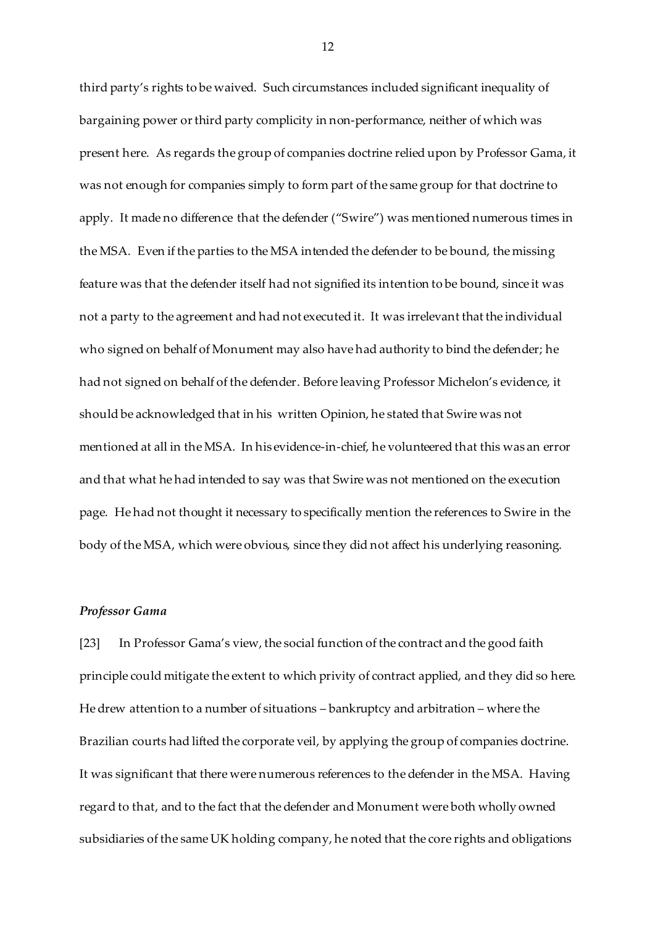third party's rights to be waived. Such circumstances included significant inequality of bargaining power or third party complicity in non-performance, neither of which was present here. As regards the group of companies doctrine relied upon by Professor Gama, it was not enough for companies simply to form part of the same group for that doctrine to apply. It made no difference that the defender ("Swire") was mentioned numerous times in the MSA. Even if the parties to the MSA intended the defender to be bound, the missing feature was that the defender itself had not signified its intention to be bound, since it was not a party to the agreement and had not executed it. It was irrelevant that the individual who signed on behalf of Monument may also have had authority to bind the defender; he had not signed on behalf of the defender. Before leaving Professor Michelon's evidence, it should be acknowledged that in his written Opinion, he stated that Swire was not mentioned at all in the MSA. In his evidence-in-chief, he volunteered that this was an error and that what he had intended to say was that Swire was not mentioned on the execution page. He had not thought it necessary to specifically mention the references to Swire in the body of the MSA, which were obvious, since they did not affect his underlying reasoning.

### *Professor Gama*

[23] In Professor Gama's view, the social function of the contract and the good faith principle could mitigate the extent to which privity of contract applied, and they did so here. He drew attention to a number of situations – bankruptcy and arbitration – where the Brazilian courts had lifted the corporate veil, by applying the group of companies doctrine. It was significant that there were numerous references to the defender in the MSA. Having regard to that, and to the fact that the defender and Monument were both wholly owned subsidiaries of the same UK holding company, he noted that the core rights and obligations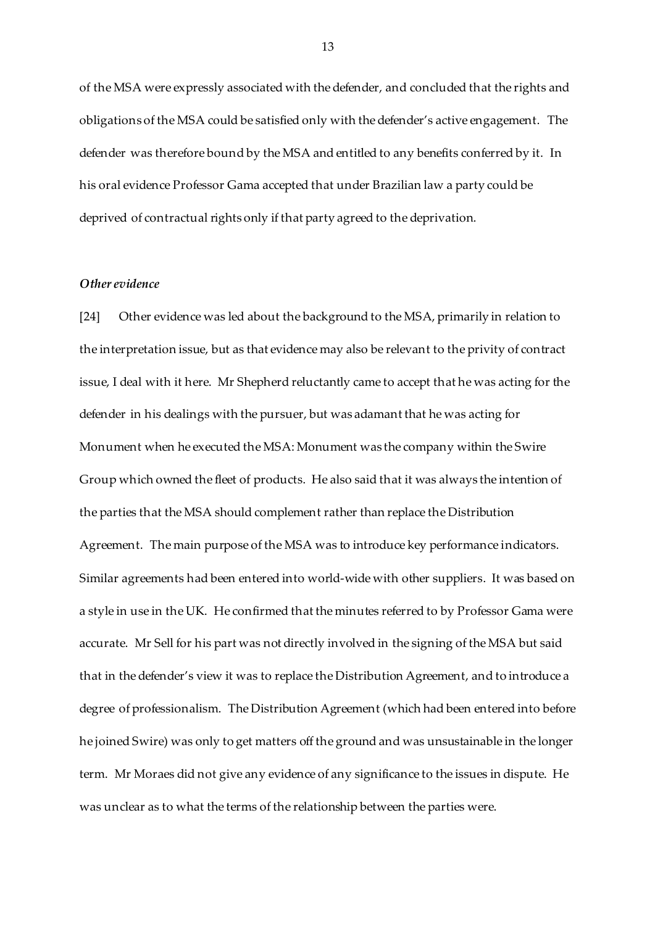of the MSA were expressly associated with the defender, and concluded that the rights and obligations of the MSA could be satisfied only with the defender's active engagement. The defender was therefore bound by the MSA and entitled to any benefits conferred by it. In his oral evidence Professor Gama accepted that under Brazilian law a party could be deprived of contractual rights only if that party agreed to the deprivation.

# *Other evidence*

[24] Other evidence was led about the background to the MSA, primarily in relation to the interpretation issue, but as that evidence may also be relevant to the privity of contract issue, I deal with it here. Mr Shepherd reluctantly came to accept that he was acting for the defender in his dealings with the pursuer, but was adamant that he was acting for Monument when he executed the MSA: Monument was the company within the Swire Group which owned the fleet of products. He also said that it was always the intention of the parties that the MSA should complement rather than replace the Distribution Agreement. The main purpose of the MSA was to introduce key performance indicators. Similar agreements had been entered into world-wide with other suppliers. It was based on a style in use in the UK. He confirmed that the minutes referred to by Professor Gama were accurate. Mr Sell for his part was not directly involved in the signing of the MSA but said that in the defender's view it was to replace the Distribution Agreement, and to introduce a degree of professionalism. The Distribution Agreement (which had been entered into before he joined Swire) was only to get matters off the ground and was unsustainable in the longer term. Mr Moraes did not give any evidence of any significance to the issues in dispute. He was unclear as to what the terms of the relationship between the parties were.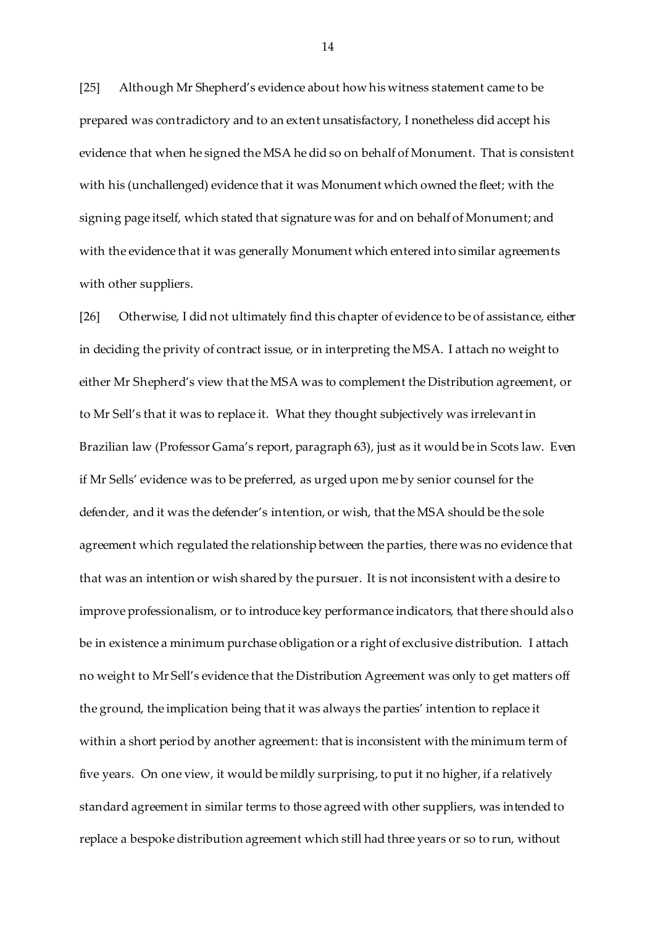[25] Although Mr Shepherd's evidence about how his witness statement came to be prepared was contradictory and to an extent unsatisfactory, I nonetheless did accept his evidence that when he signed the MSA he did so on behalf of Monument. That is consistent with his (unchallenged) evidence that it was Monument which owned the fleet; with the signing page itself, which stated that signature was for and on behalf of Monument; and with the evidence that it was generally Monument which entered into similar agreements with other suppliers.

[26] Otherwise, I did not ultimately find this chapter of evidence to be of assistance, either in deciding the privity of contract issue, or in interpreting the MSA. I attach no weight to either Mr Shepherd's view that the MSA was to complement the Distribution agreement, or to Mr Sell's that it was to replace it. What they thought subjectively was irrelevant in Brazilian law (Professor Gama's report, paragraph 63), just as it would be in Scots law. Even if Mr Sells' evidence was to be preferred, as urged upon me by senior counsel for the defender, and it was the defender's intention, or wish, that the MSA should be the sole agreement which regulated the relationship between the parties, there was no evidence that that was an intention or wish shared by the pursuer. It is not inconsistent with a desire to improve professionalism, or to introduce key performance indicators, that there should also be in existence a minimum purchase obligation or a right of exclusive distribution. I attach no weight to Mr Sell's evidence that the Distribution Agreement was only to get matters off the ground, the implication being that it was always the parties' intention to replace it within a short period by another agreement: that is inconsistent with the minimum term of five years. On one view, it would be mildly surprising, to put it no higher, if a relatively standard agreement in similar terms to those agreed with other suppliers, was intended to replace a bespoke distribution agreement which still had three years or so to run, without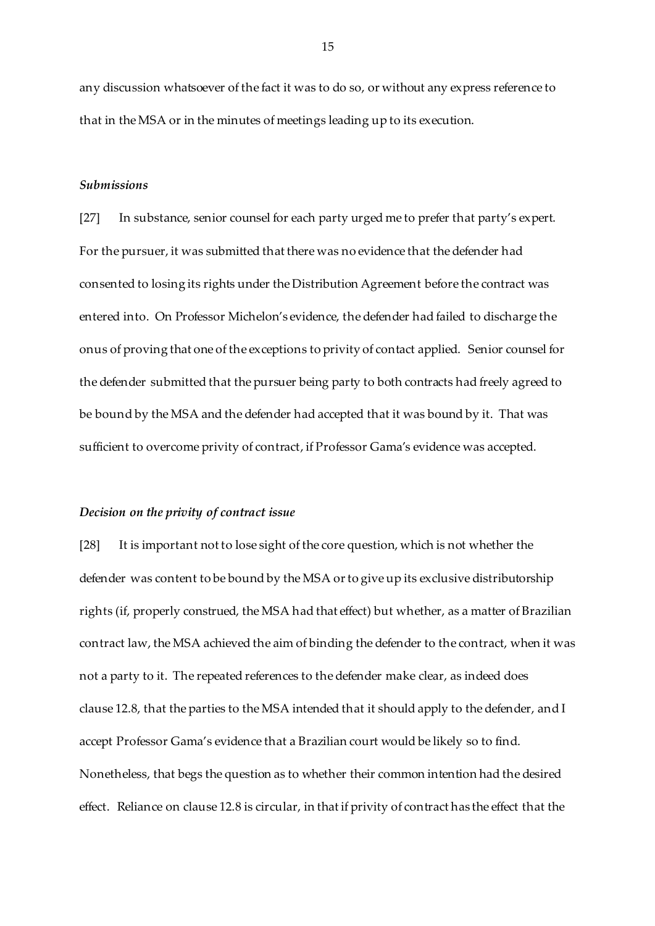any discussion whatsoever of the fact it was to do so, or without any express reference to that in the MSA or in the minutes of meetings leading up to its execution.

### *Submissions*

[27] In substance, senior counsel for each party urged me to prefer that party's expert. For the pursuer, it was submitted that there was no evidence that the defender had consented to losing its rights under the Distribution Agreement before the contract was entered into. On Professor Michelon's evidence, the defender had failed to discharge the onus of proving that one of the exceptions to privity of contact applied. Senior counsel for the defender submitted that the pursuer being party to both contracts had freely agreed to be bound by the MSA and the defender had accepted that it was bound by it. That was sufficient to overcome privity of contract, if Professor Gama's evidence was accepted.

### *Decision on the privity of contract issue*

[28] It is important not to lose sight of the core question, which is not whether the defender was content to be bound by the MSA or to give up its exclusive distributorship rights (if, properly construed, the MSA had that effect) but whether, as a matter of Brazilian contract law, the MSA achieved the aim of binding the defender to the contract, when it was not a party to it. The repeated references to the defender make clear, as indeed does clause 12.8, that the parties to the MSA intended that it should apply to the defender, and I accept Professor Gama's evidence that a Brazilian court would be likely so to find. Nonetheless, that begs the question as to whether their common intention had the desired effect. Reliance on clause 12.8 is circular, in that if privity of contract has the effect that the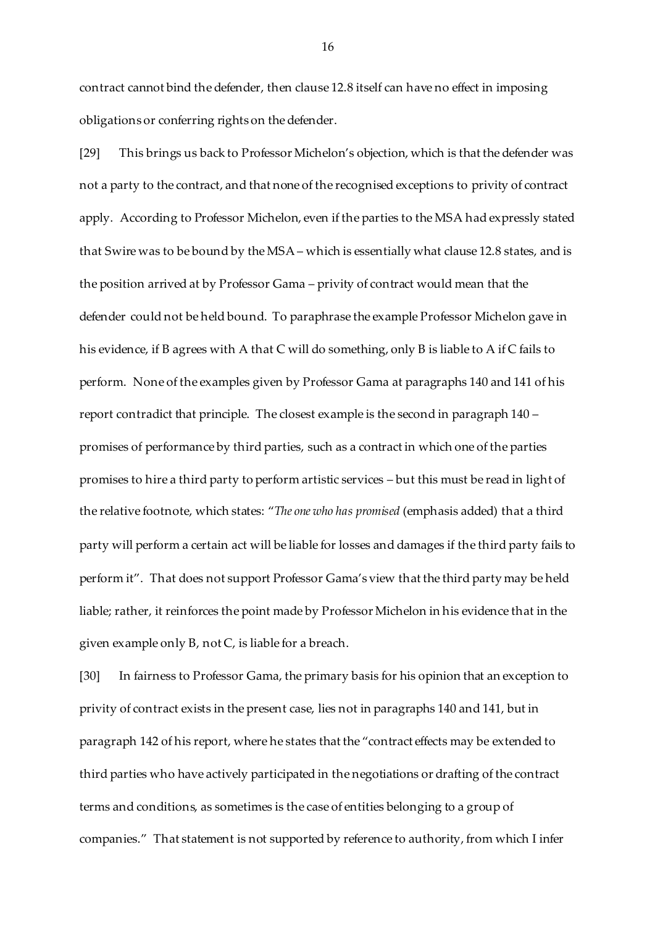contract cannot bind the defender, then clause 12.8 itself can have no effect in imposing obligations or conferring rights on the defender.

[29] This brings us back to Professor Michelon's objection, which is that the defender was not a party to the contract, and that none of the recognised exceptions to privity of contract apply. According to Professor Michelon, even if the parties to the MSA had expressly stated that Swire was to be bound by the MSA – which is essentially what clause 12.8 states, and is the position arrived at by Professor Gama – privity of contract would mean that the defender could not be held bound. To paraphrase the example Professor Michelon gave in his evidence, if B agrees with A that C will do something, only B is liable to A if C fails to perform. None of the examples given by Professor Gama at paragraphs 140 and 141 of his report contradict that principle. The closest example is the second in paragraph 140 – promises of performance by third parties, such as a contract in which one of the parties promises to hire a third party to perform artistic services – but this must be read in light of the relative footnote, which states: "*The one who has promised* (emphasis added) that a third party will perform a certain act will be liable for losses and damages if the third party fails to perform it". That does not support Professor Gama's view that the third party may be held liable; rather, it reinforces the point made by Professor Michelon in his evidence that in the given example only B, not C, is liable for a breach.

[30] In fairness to Professor Gama, the primary basis for his opinion that an exception to privity of contract exists in the present case, lies not in paragraphs 140 and 141, but in paragraph 142 of his report, where he states that the "contract effects may be extended to third parties who have actively participated in the negotiations or drafting of the contract terms and conditions, as sometimes is the case of entities belonging to a group of companies." That statement is not supported by reference to authority, from which I infer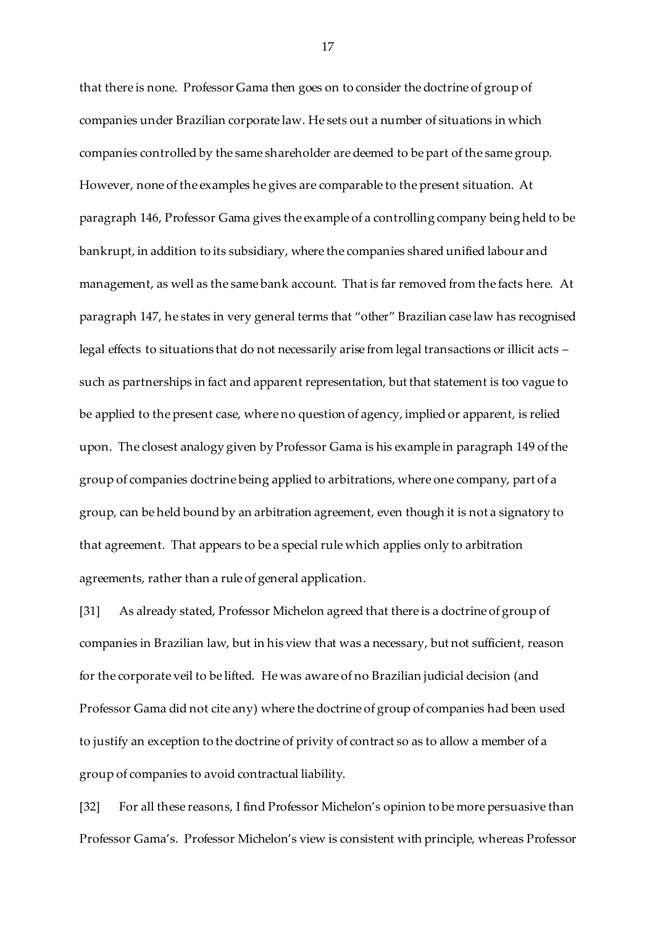that there is none. Professor Gama then goes on to consider the doctrine of group of companies under Brazilian corporate law. He sets out a number of situations in which companies controlled by the same shareholder are deemed to be part of the same group. However, none of the examples he gives are comparable to the present situation. At paragraph 146, Professor Gama gives the example of a controlling company being held to be bankrupt, in addition to its subsidiary, where the companies shared unified labour and management, as well as the same bank account. That is far removed from the facts here. At paragraph 147, he states in very general terms that "other" Brazilian case law has recognised legal effects to situations that do not necessarily arise from legal transactions or illicit acts – such as partnerships in fact and apparent representation, but that statement is too vague to be applied to the present case, where no question of agency, implied or apparent, is relied upon. The closest analogy given by Professor Gama is his example in paragraph 149 of the group of companies doctrine being applied to arbitrations, where one company, part of a group, can be held bound by an arbitration agreement, even though it is not a signatory to that agreement. That appears to be a special rule which applies only to arbitration agreements, rather than a rule of general application.

[31] As already stated, Professor Michelon agreed that there is a doctrine of group of companies in Brazilian law, but in his view that was a necessary, but not sufficient, reason for the corporate veil to be lifted. He was aware of no Brazilian judicial decision (and Professor Gama did not cite any) where the doctrine of group of companies had been used to justify an exception to the doctrine of privity of contract so as to allow a member of a group of companies to avoid contractual liability.

[32] For all these reasons, I find Professor Michelon's opinion to be more persuasive than Professor Gama's. Professor Michelon's view is consistent with principle, whereas Professor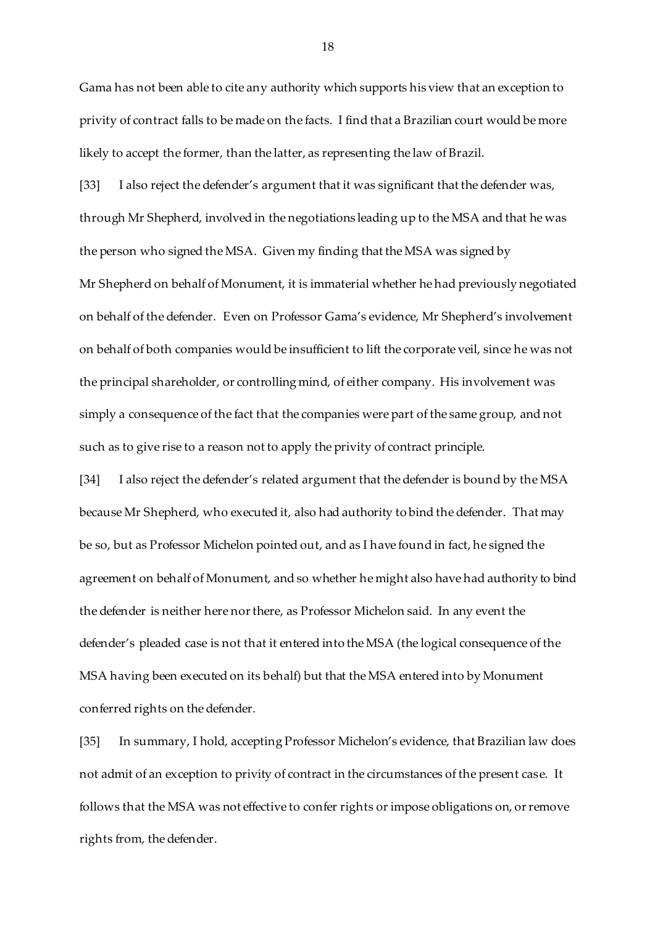Gama has not been able to cite any authority which supports his view that an exception to privity of contract falls to be made on the facts. I find that a Brazilian court would be more likely to accept the former, than the latter, as representing the law of Brazil.

[33] I also reject the defender's argument that it was significant that the defender was, through Mr Shepherd, involved in the negotiations leading up to the MSA and that he was the person who signed the MSA. Given my finding that the MSA was signed by Mr Shepherd on behalf of Monument, it is immaterial whether he had previously negotiated on behalf of the defender. Even on Professor Gama's evidence, Mr Shepherd's involvement on behalf of both companies would be insufficient to lift the corporate veil, since he was not the principal shareholder, or controlling mind, of either company. His involvement was simply a consequence of the fact that the companies were part of the same group, and not such as to give rise to a reason not to apply the privity of contract principle.

[34] I also reject the defender's related argument that the defender is bound by the MSA because Mr Shepherd, who executed it, also had authority to bind the defender. That may be so, but as Professor Michelon pointed out, and as I have found in fact, he signed the agreement on behalf of Monument, and so whether he might also have had authority to bind the defender is neither here nor there, as Professor Michelon said. In any event the defender's pleaded case is not that it entered into the MSA (the logical consequence of the MSA having been executed on its behalf) but that the MSA entered into by Monument conferred rights on the defender.

[35] In summary, I hold, accepting Professor Michelon's evidence, that Brazilian law does not admit of an exception to privity of contract in the circumstances of the present case. It follows that the MSA was not effective to confer rights or impose obligations on, or remove rights from, the defender.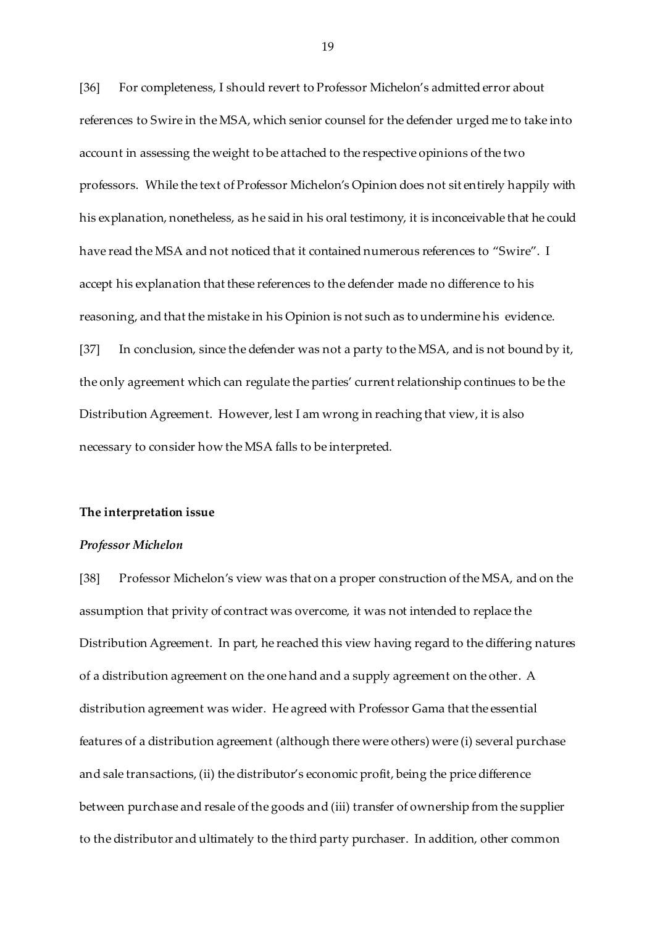[36] For completeness, I should revert to Professor Michelon's admitted error about references to Swire in the MSA, which senior counsel for the defender urged me to take into account in assessing the weight to be attached to the respective opinions of the two professors. While the text of Professor Michelon's Opinion does not sit entirely happily with his explanation, nonetheless, as he said in his oral testimony, it is inconceivable that he could have read the MSA and not noticed that it contained numerous references to "Swire". I accept his explanation that these references to the defender made no difference to his reasoning, and that the mistake in his Opinion is not such as to undermine his evidence. [37] In conclusion, since the defender was not a party to the MSA, and is not bound by it, the only agreement which can regulate the parties' current relationship continues to be the Distribution Agreement. However, lest I am wrong in reaching that view, it is also necessary to consider how the MSA falls to be interpreted.

### **The interpretation issue**

#### *Professor Michelon*

[38] Professor Michelon's view was that on a proper construction of the MSA, and on the assumption that privity of contract was overcome, it was not intended to replace the Distribution Agreement. In part, he reached this view having regard to the differing natures of a distribution agreement on the one hand and a supply agreement on the other. A distribution agreement was wider. He agreed with Professor Gama that the essential features of a distribution agreement (although there were others) were (i) several purchase and sale transactions, (ii) the distributor's economic profit, being the price difference between purchase and resale of the goods and (iii) transfer of ownership from the supplier to the distributor and ultimately to the third party purchaser. In addition, other common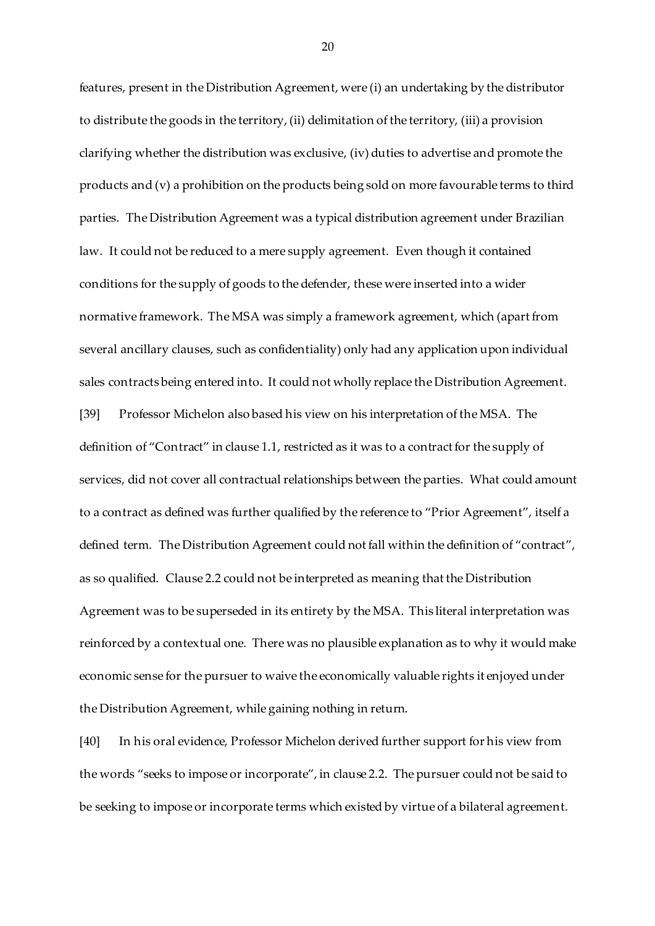features, present in the Distribution Agreement, were (i) an undertaking by the distributor to distribute the goods in the territory, (ii) delimitation of the territory, (iii) a provision clarifying whether the distribution was exclusive, (iv) duties to advertise and promote the products and (v) a prohibition on the products being sold on more favourable terms to third parties. The Distribution Agreement was a typical distribution agreement under Brazilian law. It could not be reduced to a mere supply agreement. Even though it contained conditions for the supply of goods to the defender, these were inserted into a wider normative framework. The MSA was simply a framework agreement, which (apart from several ancillary clauses, such as confidentiality) only had any application upon individual sales contracts being entered into. It could not wholly replace the Distribution Agreement. [39] Professor Michelon also based his view on his interpretation of the MSA. The definition of "Contract" in clause 1.1, restricted as it was to a contract for the supply of services, did not cover all contractual relationships between the parties. What could amount to a contract as defined was further qualified by the reference to "Prior Agreement", itself a defined term. The Distribution Agreement could not fall within the definition of "contract", as so qualified. Clause 2.2 could not be interpreted as meaning that the Distribution Agreement was to be superseded in its entirety by the MSA. This literal interpretation was reinforced by a contextual one. There was no plausible explanation as to why it would make economic sense for the pursuer to waive the economically valuable rights it enjoyed under the Distribution Agreement, while gaining nothing in return.

[40] In his oral evidence, Professor Michelon derived further support for his view from the words "seeks to impose or incorporate", in clause 2.2. The pursuer could not be said to be seeking to impose or incorporate terms which existed by virtue of a bilateral agreement.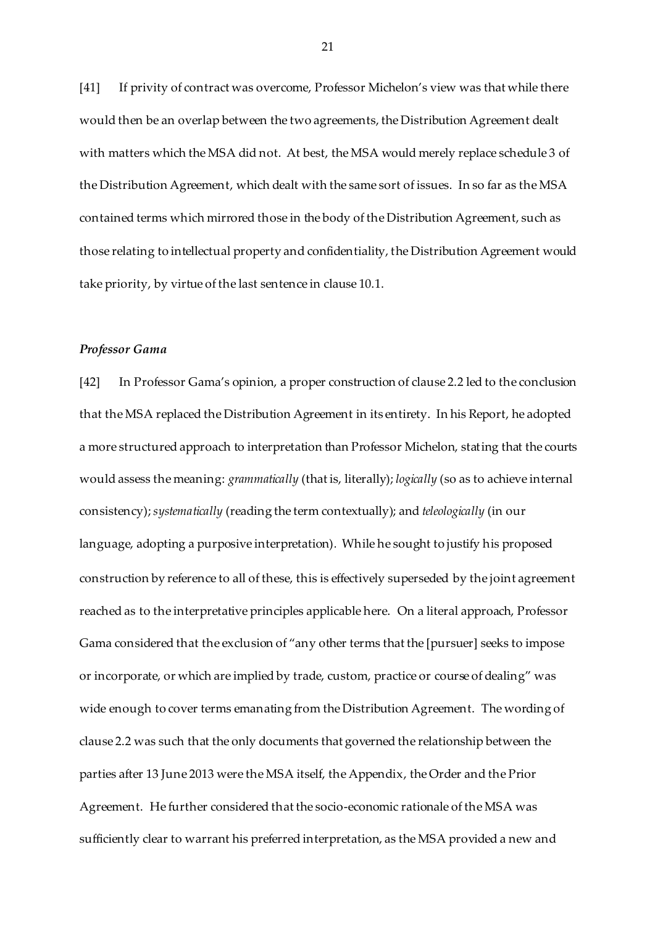[41] If privity of contract was overcome, Professor Michelon's view was that while there would then be an overlap between the two agreements, the Distribution Agreement dealt with matters which the MSA did not. At best, the MSA would merely replace schedule 3 of the Distribution Agreement, which dealt with the same sort of issues. In so far as the MSA contained terms which mirrored those in the body of the Distribution Agreement, such as those relating to intellectual property and confidentiality, the Distribution Agreement would take priority, by virtue of the last sentence in clause 10.1.

# *Professor Gama*

[42] In Professor Gama's opinion, a proper construction of clause 2.2 led to the conclusion that the MSA replaced the Distribution Agreement in its entirety. In his Report, he adopted a more structured approach to interpretation than Professor Michelon, stating that the courts would assess the meaning: *grammatically* (that is, literally); *logically* (so as to achieve internal consistency); *systematically* (reading the term contextually); and *teleologically* (in our language, adopting a purposive interpretation)*.* While he sought to justify his proposed construction by reference to all of these, this is effectively superseded by the joint agreement reached as to the interpretative principles applicable here. On a literal approach, Professor Gama considered that the exclusion of "any other terms that the [pursuer] seeks to impose or incorporate, or which are implied by trade, custom, practice or course of dealing" was wide enough to cover terms emanating from the Distribution Agreement. The wording of clause 2.2 was such that the only documents that governed the relationship between the parties after 13 June 2013 were the MSA itself, the Appendix, the Order and the Prior Agreement. He further considered that the socio-economic rationale of the MSA was sufficiently clear to warrant his preferred interpretation, as the MSA provided a new and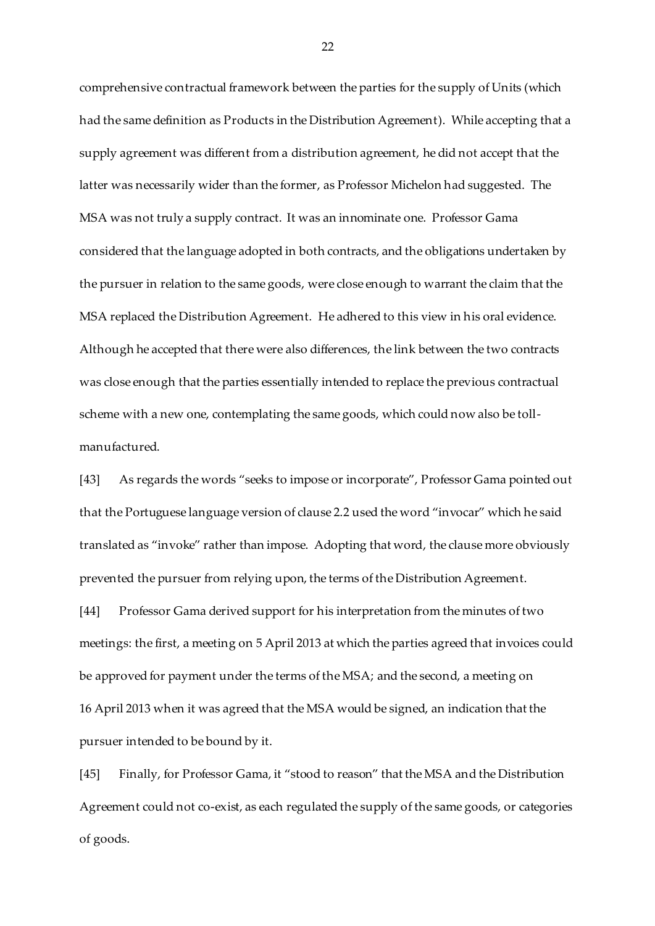comprehensive contractual framework between the parties for the supply of Units (which had the same definition as Products in the Distribution Agreement). While accepting that a supply agreement was different from a distribution agreement, he did not accept that the latter was necessarily wider than the former, as Professor Michelon had suggested. The MSA was not truly a supply contract. It was an innominate one. Professor Gama considered that the language adopted in both contracts, and the obligations undertaken by the pursuer in relation to the same goods, were close enough to warrant the claim that the MSA replaced the Distribution Agreement. He adhered to this view in his oral evidence. Although he accepted that there were also differences, the link between the two contracts was close enough that the parties essentially intended to replace the previous contractual scheme with a new one, contemplating the same goods, which could now also be tollmanufactured.

[43] As regards the words "seeks to impose or incorporate", Professor Gama pointed out that the Portuguese language version of clause 2.2 used the word "invocar" which he said translated as "invoke" rather than impose. Adopting that word, the clause more obviously prevented the pursuer from relying upon, the terms of the Distribution Agreement.

[44] Professor Gama derived support for his interpretation from the minutes of two meetings: the first, a meeting on 5 April 2013 at which the parties agreed that invoices could be approved for payment under the terms of the MSA; and the second, a meeting on 16 April 2013 when it was agreed that the MSA would be signed, an indication that the pursuer intended to be bound by it.

[45] Finally, for Professor Gama, it "stood to reason" that the MSA and the Distribution Agreement could not co-exist, as each regulated the supply of the same goods, or categories of goods.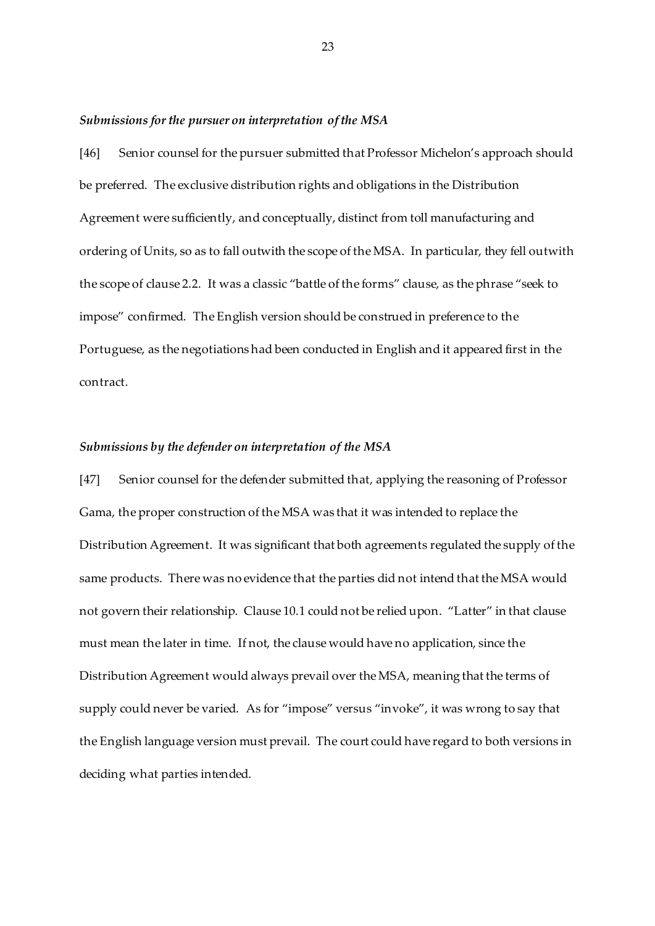#### *Submissions for the pursuer on interpretation of the MSA*

[46] Senior counsel for the pursuer submitted that Professor Michelon's approach should be preferred. The exclusive distribution rights and obligations in the Distribution Agreement were sufficiently, and conceptually, distinct from toll manufacturing and ordering of Units, so as to fall outwith the scope of the MSA. In particular, they fell outwith the scope of clause 2.2. It was a classic "battle of the forms" clause, as the phrase "seek to impose" confirmed. The English version should be construed in preference to the Portuguese, as the negotiations had been conducted in English and it appeared first in the contract.

### *Submissions by the defender on interpretation of the MSA*

[47] Senior counsel for the defender submitted that, applying the reasoning of Professor Gama, the proper construction of the MSA was that it was intended to replace the Distribution Agreement. It was significant that both agreements regulated the supply of the same products. There was no evidence that the parties did not intend that the MSA would not govern their relationship. Clause 10.1 could not be relied upon. "Latter" in that clause must mean the later in time. If not, the clause would have no application, since the Distribution Agreement would always prevail over the MSA, meaning that the terms of supply could never be varied. As for "impose" versus "invoke", it was wrong to say that the English language version must prevail. The court could have regard to both versions in deciding what parties intended.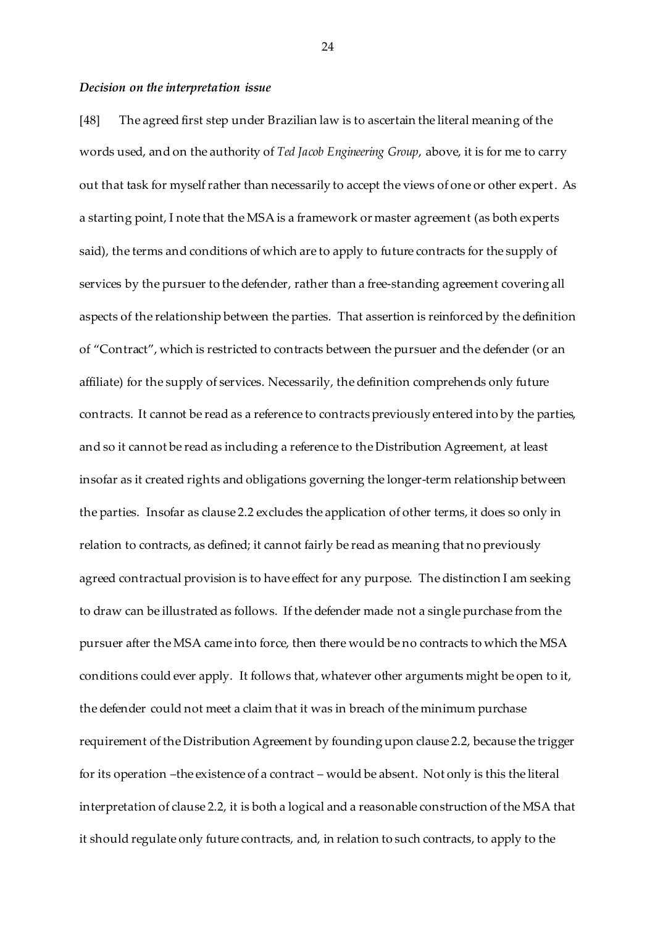#### *Decision on the interpretation issue*

[48] The agreed first step under Brazilian law is to ascertain the literal meaning of the words used, and on the authority of *Ted Jacob Engineering Group*, above, it is for me to carry out that task for myself rather than necessarily to accept the views of one or other expert. As a starting point, I note that the MSA is a framework or master agreement (as both experts said), the terms and conditions of which are to apply to future contracts for the supply of services by the pursuer to the defender, rather than a free-standing agreement covering all aspects of the relationship between the parties. That assertion is reinforced by the definition of "Contract", which is restricted to contracts between the pursuer and the defender (or an affiliate) for the supply of services. Necessarily, the definition comprehends only future contracts. It cannot be read as a reference to contracts previously entered into by the parties, and so it cannot be read as including a reference to the Distribution Agreement, at least insofar as it created rights and obligations governing the longer-term relationship between the parties. Insofar as clause 2.2 excludes the application of other terms, it does so only in relation to contracts, as defined; it cannot fairly be read as meaning that no previously agreed contractual provision is to have effect for any purpose. The distinction I am seeking to draw can be illustrated as follows. If the defender made not a single purchase from the pursuer after the MSA came into force, then there would be no contracts to which the MSA conditions could ever apply. It follows that, whatever other arguments might be open to it, the defender could not meet a claim that it was in breach of the minimum purchase requirement of the Distribution Agreement by founding upon clause 2.2, because the trigger for its operation –the existence of a contract – would be absent. Not only is this the literal interpretation of clause 2.2, it is both a logical and a reasonable construction of the MSA that it should regulate only future contracts, and, in relation to such contracts, to apply to the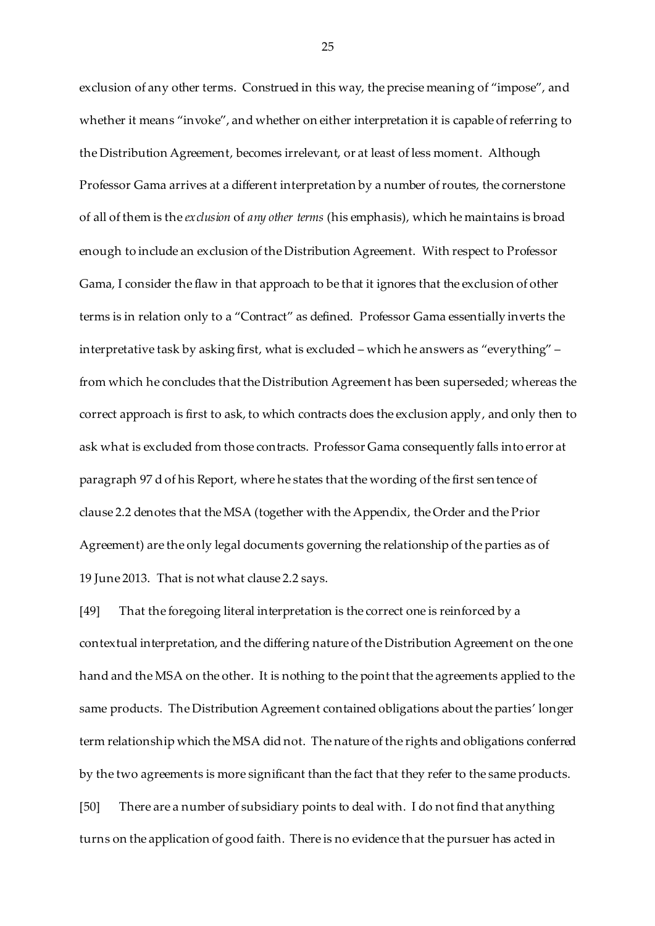exclusion of any other terms. Construed in this way, the precise meaning of "impose", and whether it means "invoke", and whether on either interpretation it is capable of referring to the Distribution Agreement, becomes irrelevant, or at least of less moment. Although Professor Gama arrives at a different interpretation by a number of routes, the cornerstone of all of them is the *exclusion* of *any other terms* (his emphasis), which he maintains is broad enough to include an exclusion of the Distribution Agreement. With respect to Professor Gama, I consider the flaw in that approach to be that it ignores that the exclusion of other terms is in relation only to a "Contract" as defined. Professor Gama essentially inverts the interpretative task by asking first, what is excluded – which he answers as "everything" – from which he concludes that the Distribution Agreement has been superseded; whereas the correct approach is first to ask, to which contracts does the exclusion apply, and only then to ask what is excluded from those contracts. Professor Gama consequently falls into error at paragraph 97 d of his Report, where he states that the wording of the first sentence of clause 2.2 denotes that the MSA (together with the Appendix, the Order and the Prior Agreement) are the only legal documents governing the relationship of the parties as of 19 June 2013. That is not what clause 2.2 says.

[49] That the foregoing literal interpretation is the correct one is reinforced by a contextual interpretation, and the differing nature of the Distribution Agreement on the one hand and the MSA on the other. It is nothing to the point that the agreements applied to the same products. The Distribution Agreement contained obligations about the parties' longer term relationship which the MSA did not. The nature of the rights and obligations conferred by the two agreements is more significant than the fact that they refer to the same products. [50] There are a number of subsidiary points to deal with. I do not find that anything turns on the application of good faith. There is no evidence that the pursuer has acted in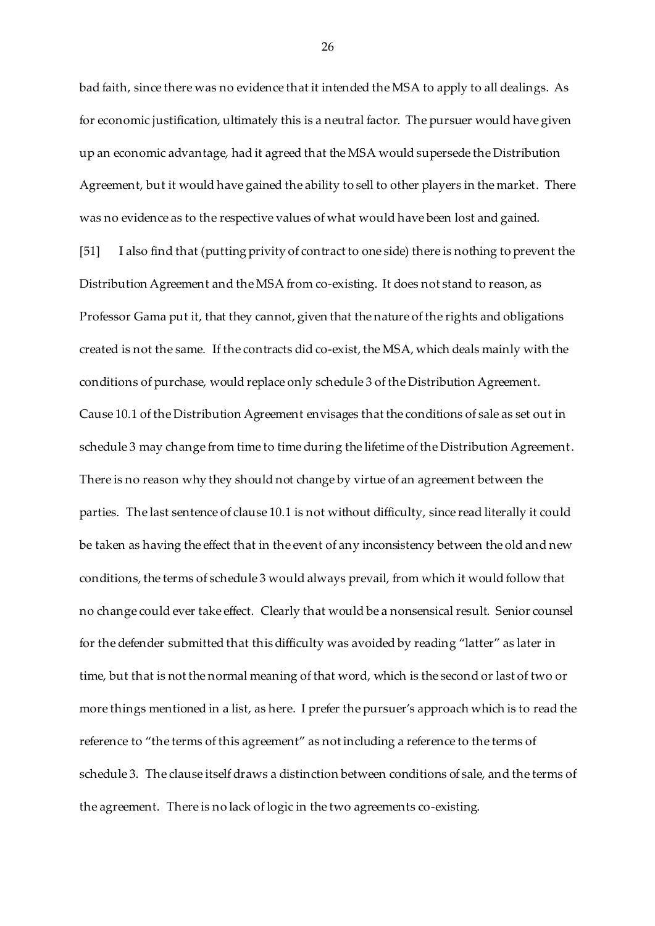bad faith, since there was no evidence that it intended the MSA to apply to all dealings. As for economic justification, ultimately this is a neutral factor. The pursuer would have given up an economic advantage, had it agreed that the MSA would supersede the Distribution Agreement, but it would have gained the ability to sell to other players in the market. There was no evidence as to the respective values of what would have been lost and gained.

[51] I also find that (putting privity of contract to one side) there is nothing to prevent the Distribution Agreement and the MSA from co-existing. It does not stand to reason, as Professor Gama put it, that they cannot, given that the nature of the rights and obligations created is not the same. If the contracts did co-exist, the MSA, which deals mainly with the conditions of purchase, would replace only schedule 3 of the Distribution Agreement. Cause 10.1 of the Distribution Agreement envisages that the conditions of sale as set out in schedule 3 may change from time to time during the lifetime of the Distribution Agreement. There is no reason why they should not change by virtue of an agreement between the parties. The last sentence of clause 10.1 is not without difficulty, since read literally it could be taken as having the effect that in the event of any inconsistency between the old and new conditions, the terms of schedule 3 would always prevail, from which it would follow that no change could ever take effect. Clearly that would be a nonsensical result. Senior counsel for the defender submitted that this difficulty was avoided by reading "latter" as later in time, but that is not the normal meaning of that word, which is the second or last of two or more things mentioned in a list, as here. I prefer the pursuer's approach which is to read the reference to "the terms of this agreement" as not including a reference to the terms of schedule 3. The clause itself draws a distinction between conditions of sale, and the terms of the agreement. There is no lack of logic in the two agreements co-existing.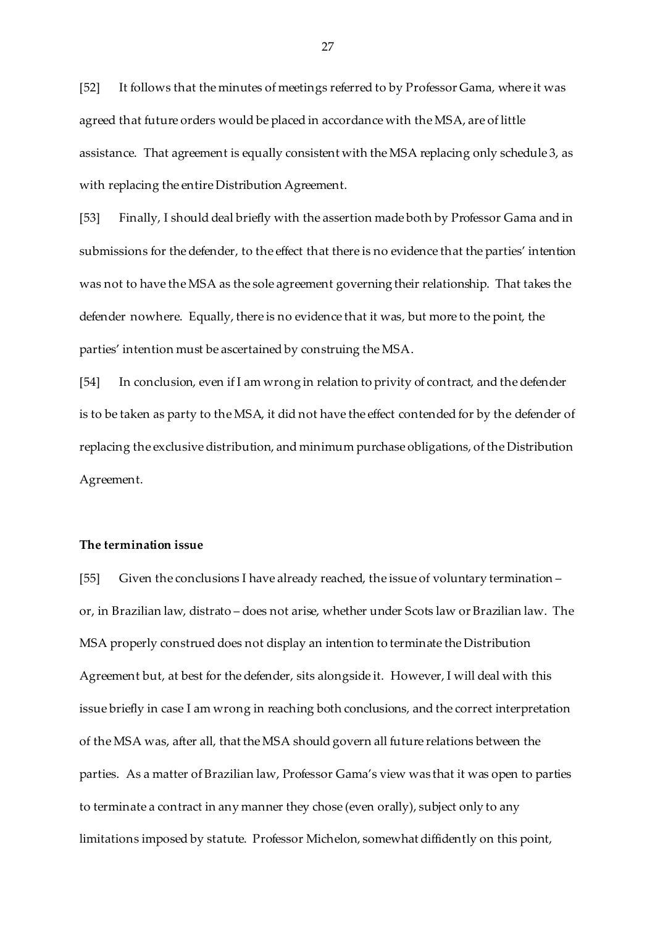[52] It follows that the minutes of meetings referred to by Professor Gama, where it was agreed that future orders would be placed in accordance with the MSA, are of little assistance. That agreement is equally consistent with the MSA replacing only schedule 3, as with replacing the entire Distribution Agreement.

[53] Finally, I should deal briefly with the assertion made both by Professor Gama and in submissions for the defender, to the effect that there is no evidence that the parties' intention was not to have the MSA as the sole agreement governing their relationship. That takes the defender nowhere. Equally, there is no evidence that it was, but more to the point, the parties' intention must be ascertained by construing the MSA.

[54] In conclusion, even if I am wrong in relation to privity of contract, and the defender is to be taken as party to the MSA, it did not have the effect contended for by the defender of replacing the exclusive distribution, and minimum purchase obligations, of the Distribution Agreement.

# **The termination issue**

[55] Given the conclusions I have already reached, the issue of voluntary termination – or, in Brazilian law, distrato – does not arise, whether under Scots law or Brazilian law. The MSA properly construed does not display an intention to terminate the Distribution Agreement but, at best for the defender, sits alongside it. However, I will deal with this issue briefly in case I am wrong in reaching both conclusions, and the correct interpretation of the MSA was, after all, that the MSA should govern all future relations between the parties. As a matter of Brazilian law, Professor Gama's view was that it was open to parties to terminate a contract in any manner they chose (even orally), subject only to any limitations imposed by statute. Professor Michelon, somewhat diffidently on this point,